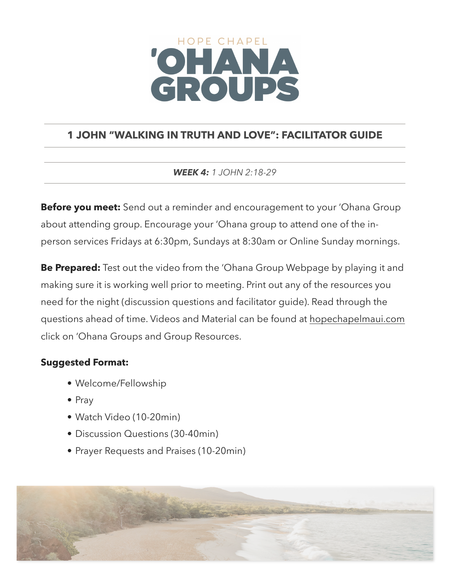# HOPE CHAPEL CROUPS

# **1 JOHN "WALKING IN TRUTH AND LOVE": FACILITATOR GUIDE**

*WEEK 4: 1 JOHN 2:18-29*

**Before you meet:** Send out a reminder and encouragement to your 'Ohana Group about attending group. Encourage your 'Ohana group to attend one of the inperson services Fridays at 6:30pm, Sundays at 8:30am or Online Sunday mornings.

**Be Prepared:** Test out the video from the 'Ohana Group Webpage by playing it and making sure it is working well prior to meeting. Print out any of the resources you need for the night (discussion questions and facilitator guide). Read through the questions ahead of time. Videos and Material can be found at [hopechapelmaui.com](http://care.hopechapelmaui.com) click on 'Ohana Groups and Group Resources.

## **Suggested Format:**

- Welcome/Fellowship
- Pray
- Watch Video (10-20min)
- Discussion Questions (30-40min)
- Prayer Requests and Praises (10-20min)